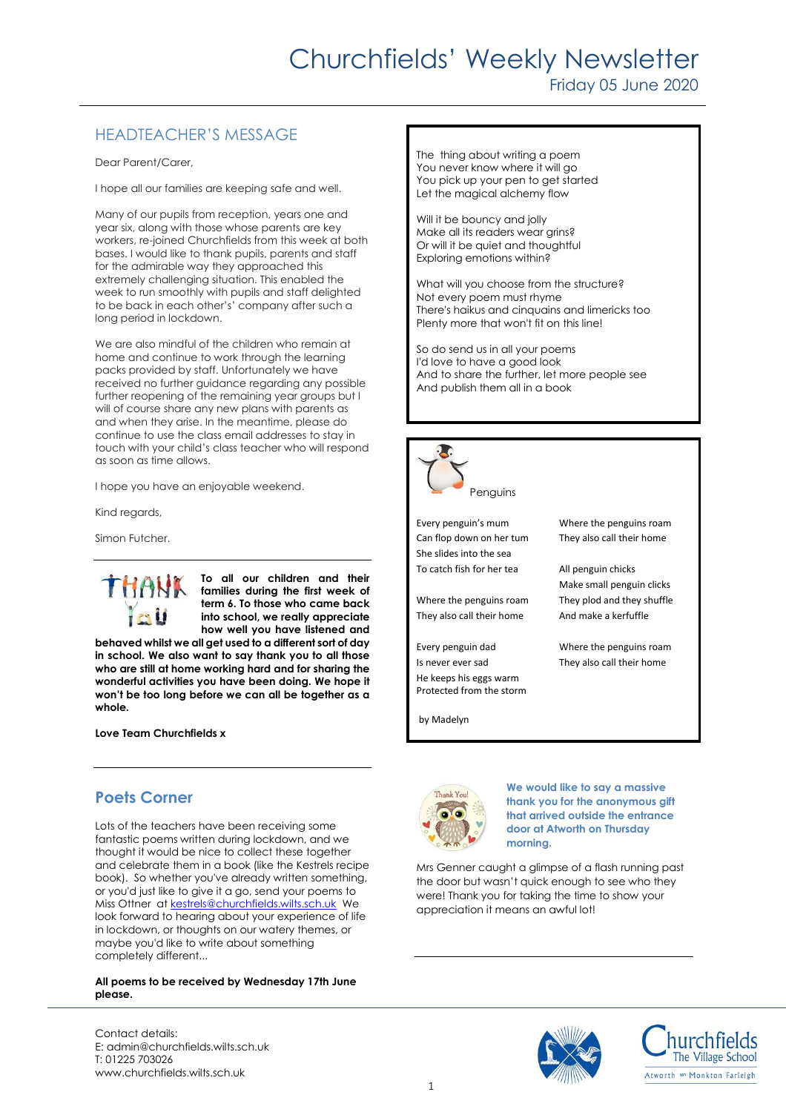# Churchfields' Weekly Newsletter

### Friday 05 June 2020

## HEADTEACHER'S MESSAGE

Dear Parent/Carer,

I hope all our families are keeping safe and well.

Many of our pupils from reception, years one and year six, along with those whose parents are key workers, re-joined Churchfields from this week at both bases. I would like to thank pupils, parents and staff for the admirable way they approached this extremely challenging situation. This enabled the week to run smoothly with pupils and staff delighted to be back in each other's' company after such a long period in lockdown.

We are also mindful of the children who remain at home and continue to work through the learning packs provided by staff. Unfortunately we have received no further guidance regarding any possible further reopening of the remaining year groups but I will of course share any new plans with parents as and when they arise. In the meantime, please do continue to use the class email addresses to stay in touch with your child's class teacher who will respond as soon as time allows.

I hope you have an enjoyable weekend.

Kind regards,

Simon Futcher.



**To all our children and their families during the first week of term 6. To those who came back into school, we really appreciate how well you have listened and** 

**behaved whilst we all get used to a different sort of day in school. We also want to say thank you to all those who are still at home working hard and for sharing the wonderful activities you have been doing. We hope it won't be too long before we can all be together as a whole.**

**Love Team Churchfields x**

## **Poets Corner**

Lots of the teachers have been receiving some fantastic poems written during lockdown, and we thought it would be nice to collect these together and celebrate them in a book (like the Kestrels recipe book). So whether you've already written something, or you'd just like to give it a go, send your poems to Miss Ottner at [kestrels@churchfields.wilts.sch.uk](mailto:kestrels@churchfields.wilts.sch.uk) We look forward to hearing about your experience of life in lockdown, or thoughts on our watery themes, or maybe you'd like to write about something completely different...

#### **All poems to be received by Wednesday 17th June please.**

Contact details: E: admin@churchfields.wilts.sch.uk T: 01225 703026 www.churchfields.wilts.sch.uk

The thing about writing a poem You never know where it will go You pick up your pen to get started Let the magical alchemy flow

Will it be bouncy and jolly Make all its readers wear grins? Or will it be quiet and thoughtful Exploring emotions within?

What will you choose from the structure? Not every poem must rhyme There's haikus and cinquains and limericks too Plenty more that won't fit on this line!

So do send us in all your poems I'd love to have a good look And to share the further, let more people see And publish them all in a book



Every penguin's mum Where the penguins roam Can flop down on her tum They also call their home She slides into the sea To catch fish for her tea All penguin chicks

They also call their home And make a kerfuffle

Every penguin dad Where the penguins roam Is never ever sad They also call their home He keeps his eggs warm Protected from the storm

by Madelyn

Make small penguin clicks Where the penguins roam They plod and they shuffle

Thank You

**We would like to say a massive thank you for the anonymous gift that arrived outside the entrance door at Atworth on Thursday morning.**

Mrs Genner caught a glimpse of a flash running past the door but wasn't quick enough to see who they were! Thank you for taking the time to show your appreciation it means an awful lot!